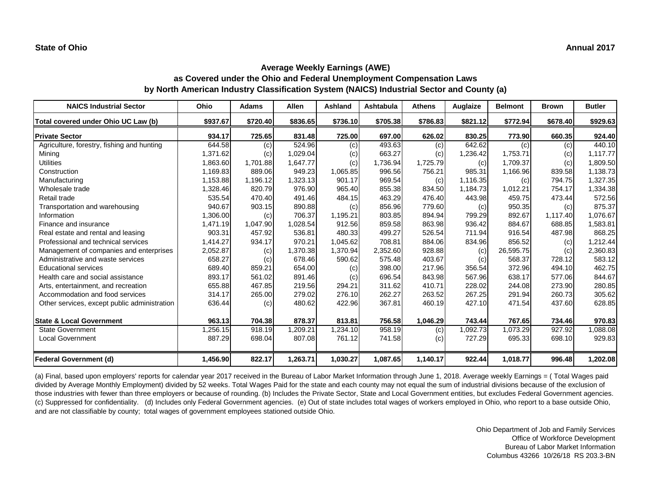| <b>NAICS Industrial Sector</b>               | Ohio     | <b>Adams</b> | <b>Allen</b> | <b>Ashland</b> | Ashtabula | <b>Athens</b> | Auglaize | <b>Belmont</b> | <b>Brown</b> | <b>Butler</b> |
|----------------------------------------------|----------|--------------|--------------|----------------|-----------|---------------|----------|----------------|--------------|---------------|
| Total covered under Ohio UC Law (b)          | \$937.67 | \$720.40     | \$836.65     | \$736.10       | \$705.38  | \$786.83      | \$821.12 | \$772.94       | \$678.40     | \$929.63      |
| <b>Private Sector</b>                        | 934.17   | 725.65       | 831.48       | 725.00         | 697.00    | 626.02        | 830.25   | 773.90         | 660.35       | 924.40        |
| Agriculture, forestry, fishing and hunting   | 644.58   | (c)          | 524.96       | (c)            | 493.63    | (c)           | 642.62   | (c)            | (c)          | 440.10        |
| Mining                                       | 1,371.62 | (c)          | 1,029.04     | (c)            | 663.27    | (c)           | 1,236.42 | 1,753.71       | (c)          | 1,117.77      |
| <b>Utilities</b>                             | 1,863.60 | 1,701.88     | 1,647.77     | (c)            | 1,736.94  | 1,725.79      | (c)      | 1,709.37       | (c)          | 1,809.50      |
| Construction                                 | 1,169.83 | 889.06       | 949.23       | 1,065.85       | 996.56    | 756.21        | 985.31   | 1,166.96       | 839.58       | 1,138.73      |
| Manufacturing                                | 1,153.88 | 1,196.12     | 1,323.13     | 901.17         | 969.54    | (c)           | 1,116.35 | (c)            | 794.75       | 1,327.35      |
| Wholesale trade                              | 1,328.46 | 820.79       | 976.90       | 965.40         | 855.38    | 834.50        | 1,184.73 | 1,012.21       | 754.17       | 1,334.38      |
| Retail trade                                 | 535.54   | 470.40       | 491.46       | 484.15         | 463.29    | 476.40        | 443.98   | 459.75         | 473.44       | 572.56        |
| Transportation and warehousing               | 940.67   | 903.15       | 890.88       | (c)            | 856.96    | 779.60        | (c)      | 950.35         | (c)          | 875.37        |
| Information                                  | 1,306.00 | (c)          | 706.37       | 1,195.21       | 803.85    | 894.94        | 799.29   | 892.67         | 1,117.40     | 1,076.67      |
| Finance and insurance                        | 1,471.19 | 1,047.90     | 1,028.54     | 912.56         | 859.58    | 863.98        | 936.42   | 884.67         | 688.85       | 1,583.81      |
| Real estate and rental and leasing           | 903.31   | 457.92       | 536.81       | 480.33         | 499.27    | 526.54        | 711.94   | 916.54         | 487.98       | 868.25        |
| Professional and technical services          | 1,414.27 | 934.17       | 970.21       | 1,045.62       | 708.81    | 884.06        | 834.96   | 856.52         | (c)          | 1,212.44      |
| Management of companies and enterprises      | 2,052.87 | (c)          | 1,370.38     | 1,370.94       | 2,352.60  | 928.88        | (c)      | 26,595.75      | (c)          | 2,360.83      |
| Administrative and waste services            | 658.27   | (c)          | 678.46       | 590.62         | 575.48    | 403.67        | (c)      | 568.37         | 728.12       | 583.12        |
| <b>Educational services</b>                  | 689.40   | 859.21       | 654.00       | (c)            | 398.00    | 217.96        | 356.54   | 372.96         | 494.10       | 462.75        |
| Health care and social assistance            | 893.17   | 561.02       | 891.46       | (c)            | 696.54    | 843.98        | 567.96   | 638.17         | 577.06       | 844.67        |
| Arts, entertainment, and recreation          | 655.88   | 467.85       | 219.56       | 294.21         | 311.62    | 410.71        | 228.02   | 244.08         | 273.90       | 280.85        |
| Accommodation and food services              | 314.17   | 265.00       | 279.02       | 276.10         | 262.27    | 263.52        | 267.25   | 291.94         | 260.73       | 305.62        |
| Other services, except public administration | 636.44   | (c)          | 480.62       | 422.96         | 367.81    | 460.19        | 427.10   | 471.54         | 437.60       | 628.85        |
| <b>State &amp; Local Government</b>          | 963.13   | 704.38       | 878.37       | 813.81         | 756.58    | 1,046.29      | 743.44   | 767.65         | 734.46       | 970.83        |
| <b>State Government</b>                      | 1,256.15 | 918.19       | 1,209.21     | 1,234.10       | 958.19    | (c)           | 1,092.73 | 1,073.29       | 927.92       | 1,088.08      |
| <b>Local Government</b>                      | 887.29   | 698.04       | 807.08       | 761.12         | 741.58    | (c)           | 727.29   | 695.33         | 698.10       | 929.83        |
| <b>Federal Government (d)</b>                | 1,456.90 | 822.17       | 1,263.71     | 1,030.27       | 1,087.65  | 1,140.17      | 922.44   | 1,018.77       | 996.48       | 1,202.08      |

(a) Final, based upon employers' reports for calendar year 2017 received in the Bureau of Labor Market Information through June 1, 2018. Average weekly Earnings = ( Total Wages paid divided by Average Monthly Employment) divided by 52 weeks. Total Wages Paid for the state and each county may not equal the sum of industrial divisions because of the exclusion of those industries with fewer than three employers or because of rounding. (b) Includes the Private Sector, State and Local Government entities, but excludes Federal Government agencies. (c) Suppressed for confidentiality. (d) Includes only Federal Government agencies. (e) Out of state includes total wages of workers employed in Ohio, who report to a base outside Ohio, and are not classifiable by county; total wages of government employees stationed outside Ohio.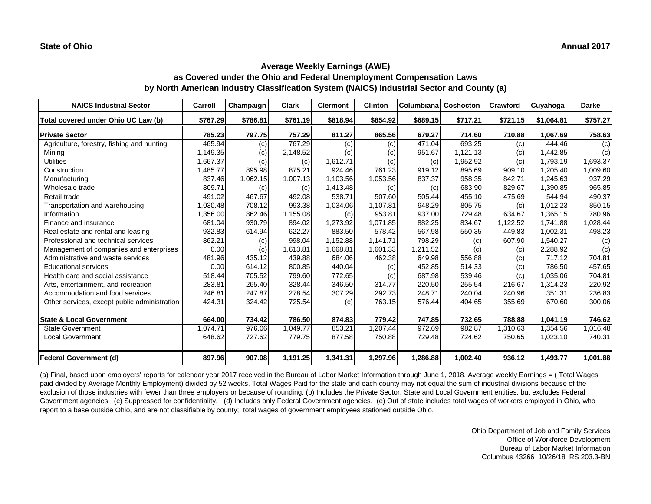| <b>NAICS Industrial Sector</b>               | Carroll  | Champaign | <b>Clark</b> | <b>Clermont</b> | <b>Clinton</b> | <b>Columbiana</b> | <b>Coshocton</b> | Crawford | Cuyahoga   | <b>Darke</b> |
|----------------------------------------------|----------|-----------|--------------|-----------------|----------------|-------------------|------------------|----------|------------|--------------|
| Total covered under Ohio UC Law (b)          | \$767.29 | \$786.81  | \$761.19     | \$818.94        | \$854.92       | \$689.15          | \$717.21         | \$721.15 | \$1,064.81 | \$757.27     |
| <b>Private Sector</b>                        | 785.23   | 797.75    | 757.29       | 811.27          | 865.56         | 679.27            | 714.60           | 710.88   | 1,067.69   | 758.63       |
| Agriculture, forestry, fishing and hunting   | 465.94   | (c)       | 767.29       | (c)             | (c)            | 471.04            | 693.25           | (c)      | 444.46     | (c)          |
| Mining                                       | 1,149.35 | (c)       | 2,148.52     | (c)             | (c)            | 951.67            | 1,121.13         | (c)      | 1,442.85   | (c)          |
| <b>Utilities</b>                             | 1,667.37 | (c)       | (c)          | 1,612.71        | (c)            | (c)               | 1,952.92         | (c)      | 1,793.19   | 1,693.37     |
| Construction                                 | 1,485.77 | 895.98    | 875.21       | 924.46          | 761.23         | 919.12            | 895.69           | 909.10   | 1,205.40   | 1,009.60     |
| Manufacturing                                | 837.46   | 1,062.15  | 1,007.13     | 1,103.56        | 1,053.56       | 837.37            | 958.35           | 842.71   | 1,245.63   | 937.29       |
| Wholesale trade                              | 809.71   | (c)       | (c)          | 1,413.48        | (c)            | (c)               | 683.90           | 829.67   | 1,390.85   | 965.85       |
| Retail trade                                 | 491.02   | 467.67    | 492.08       | 538.71          | 507.60         | 505.44            | 455.10           | 475.69   | 544.94     | 490.37       |
| Transportation and warehousing               | 1,030.48 | 708.12    | 993.38       | 1,034.06        | 1,107.81       | 948.29            | 805.75           | (c)      | 1,012.23   | 850.15       |
| Information                                  | 1,356.00 | 862.46    | 1,155.08     | (c)             | 953.81         | 937.00            | 729.48           | 634.67   | 1,365.15   | 780.96       |
| Finance and insurance                        | 681.04   | 930.79    | 894.02       | 1,273.92        | 1,071.85       | 882.25            | 834.67           | 1,122.52 | 1,741.88   | 1,028.44     |
| Real estate and rental and leasing           | 932.83   | 614.94    | 622.27       | 883.50          | 578.42         | 567.98            | 550.35           | 449.83   | 1,002.31   | 498.23       |
| Professional and technical services          | 862.21   | (c)       | 998.04       | 1,152.88        | 1,141.71       | 798.29            | (c)              | 607.90   | 1,540.27   | (c)          |
| Management of companies and enterprises      | 0.00     | (c)       | 1,613.81     | 1,668.81        | 1,601.33       | 1,211.52          | (c)              | (c)      | 2,288.92   | (c)          |
| Administrative and waste services            | 481.96   | 435.12    | 439.88       | 684.06          | 462.38         | 649.98            | 556.88           | (c)      | 717.12     | 704.81       |
| <b>Educational services</b>                  | 0.00     | 614.12    | 800.85       | 440.04          | (c)            | 452.85            | 514.33           | (c)      | 786.50     | 457.65       |
| Health care and social assistance            | 518.44   | 705.52    | 799.60       | 772.65          | (c)            | 687.98            | 539.46           | (c)      | 1,035.06   | 704.81       |
| Arts, entertainment, and recreation          | 283.81   | 265.40    | 328.44       | 346.50          | 314.77         | 220.50            | 255.54           | 216.67   | 1,314.23   | 220.92       |
| Accommodation and food services              | 246.81   | 247.87    | 278.54       | 307.29          | 292.73         | 248.71            | 240.04           | 240.96   | 351.31     | 236.83       |
| Other services, except public administration | 424.31   | 324.42    | 725.54       | (c)             | 763.15         | 576.44            | 404.65           | 355.69   | 670.60     | 300.06       |
| <b>State &amp; Local Government</b>          | 664.00   | 734.42    | 786.50       | 874.83          | 779.42         | 747.85            | 732.65           | 788.88   | 1,041.19   | 746.62       |
| <b>State Government</b>                      | 1,074.71 | 976.06    | 1,049.77     | 853.21          | 1,207.44       | 972.69            | 982.87           | 1,310.63 | 1,354.56   | 1,016.48     |
| <b>Local Government</b>                      | 648.62   | 727.62    | 779.75       | 877.58          | 750.88         | 729.48            | 724.62           | 750.65   | 1,023.10   | 740.31       |
| <b>Federal Government (d)</b>                | 897.96   | 907.08    | 1,191.25     | 1,341.31        | 1,297.96       | 1,286.88          | 1,002.40         | 936.12   | 1,493.77   | 1,001.88     |

(a) Final, based upon employers' reports for calendar year 2017 received in the Bureau of Labor Market Information through June 1, 2018. Average weekly Earnings = ( Total Wages paid divided by Average Monthly Employment) divided by 52 weeks. Total Wages Paid for the state and each county may not equal the sum of industrial divisions because of the exclusion of those industries with fewer than three employers or because of rounding. (b) Includes the Private Sector, State and Local Government entities, but excludes Federal Government agencies. (c) Suppressed for confidentiality. (d) Includes only Federal Government agencies. (e) Out of state includes total wages of workers employed in Ohio, who report to a base outside Ohio, and are not classifiable by county; total wages of government employees stationed outside Ohio.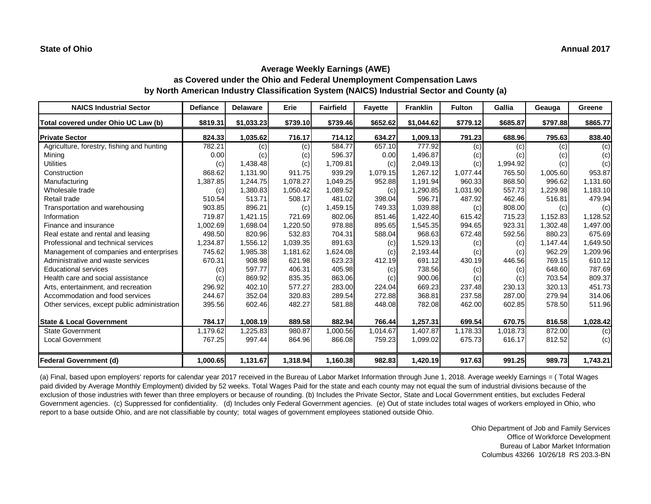| <b>NAICS Industrial Sector</b>               | <b>Defiance</b> | <b>Delaware</b> | <b>Erie</b> | <b>Fairfield</b> | <b>Fayette</b> | <b>Franklin</b> | <b>Fulton</b> | Gallia   | Geauga   | <b>Greene</b> |
|----------------------------------------------|-----------------|-----------------|-------------|------------------|----------------|-----------------|---------------|----------|----------|---------------|
| Total covered under Ohio UC Law (b)          | \$819.31        | \$1,033.23      | \$739.10    | \$739.46         | \$652.62       | \$1,044.62      | \$779.12      | \$685.87 | \$797.88 | \$865.77      |
| <b>Private Sector</b>                        | 824.33          | 1,035.62        | 716.17      | 714.12           | 634.27         | 1,009.13        | 791.23        | 688.96   | 795.63   | 838.40        |
| Agriculture, forestry, fishing and hunting   | 782.21          | (c)             | (c)         | 584.77           | 657.10         | 777.92          | (c)           | (c)      | (c)      | (c)           |
| Mining                                       | 0.00            | (c)             | (c)         | 596.37           | 0.00           | 1,496.87        | (c)           | (c)      | (c)      | (c)           |
| <b>Utilities</b>                             | (c)             | 1,438.48        | (c)         | 1,709.81         | (c)            | 2,049.13        | (c)           | 1,994.92 | (c)      | (c)           |
| Construction                                 | 868.62          | 1,131.90        | 911.75      | 939.29           | 1,079.15       | 1,267.12        | 1,077.44      | 765.50   | 1,005.60 | 953.87        |
| Manufacturing                                | 1,387.85        | 1,244.75        | 1,078.27    | 1,049.25         | 952.88         | 1,191.94        | 960.33        | 868.50   | 996.62   | 1,131.60      |
| Wholesale trade                              | (c)             | 1,380.83        | 1,050.42    | 1,089.52         | (c)            | 1,290.85        | 1,031.90      | 557.73   | 1,229.98 | 1,183.10      |
| Retail trade                                 | 510.54          | 513.71          | 508.17      | 481.02           | 398.04         | 596.71          | 487.92        | 462.46   | 516.81   | 479.94        |
| Transportation and warehousing               | 903.85          | 896.21          | (c)         | 1,459.15         | 749.33         | 1,039.88        | (c)           | 808.00   | (c)      | (c)           |
| Information                                  | 719.87          | 1,421.15        | 721.69      | 802.06           | 851.46         | 1,422.40        | 615.42        | 715.23   | 1,152.83 | 1,128.52      |
| Finance and insurance                        | 1,002.69        | 1,698.04        | 1,220.50    | 978.88           | 895.65         | 1,545.35        | 994.65        | 923.31   | 1,302.48 | 1,497.00      |
| Real estate and rental and leasing           | 498.50          | 820.96          | 532.83      | 704.31           | 588.04         | 968.63          | 672.48        | 592.56   | 880.23   | 675.69        |
| Professional and technical services          | 1,234.87        | 1,556.12        | 1,039.35    | 891.63           | (c)            | 1,529.13        | (c)           | (c)      | 1,147.44 | 1,649.50      |
| Management of companies and enterprises      | 745.62          | 1,985.38        | 1,181.62    | 1,624.08         | (c)            | 2,193.44        | (c)           | (c)      | 962.29   | 1,209.96      |
| Administrative and waste services            | 670.31          | 908.98          | 621.98      | 623.23           | 412.19         | 691.12          | 430.19        | 446.56   | 769.15   | 610.12        |
| <b>Educational services</b>                  | (c)             | 597.77          | 406.31      | 405.98           | (c)            | 738.56          | (c)           | (c)      | 648.60   | 787.69        |
| Health care and social assistance            | (c)             | 869.92          | 835.35      | 863.06           | (c)            | 900.06          | (c)           | (c)      | 703.54   | 809.37        |
| Arts, entertainment, and recreation          | 296.92          | 402.10          | 577.27      | 283.00           | 224.04         | 669.23          | 237.48        | 230.13   | 320.13   | 451.73        |
| Accommodation and food services              | 244.67          | 352.04          | 320.83      | 289.54           | 272.88         | 368.81          | 237.58        | 287.00   | 279.94   | 314.06        |
| Other services, except public administration | 395.56          | 602.46          | 482.27      | 581.88           | 448.08         | 782.08          | 462.00        | 602.85   | 578.50   | 511.96        |
| <b>State &amp; Local Government</b>          | 784.17          | 1,008.19        | 889.58      | 882.94           | 766.44         | 1,257.31        | 699.54        | 670.75   | 816.58   | 1,028.42      |
| <b>State Government</b>                      | 1,179.62        | 1,225.83        | 980.87      | 1,000.56         | 1,014.67       | 1,407.87        | 1,178.33      | 1,018.73 | 872.00   | (c)           |
| Local Government                             | 767.25          | 997.44          | 864.96      | 866.08           | 759.23         | 1,099.02        | 675.73        | 616.17   | 812.52   | (c)           |
| <b>Federal Government (d)</b>                | 1,000.65        | 1,131.67        | 1,318.94    | 1,160.38         | 982.83         | 1,420.19        | 917.63        | 991.25   | 989.73   | 1,743.21      |

(a) Final, based upon employers' reports for calendar year 2017 received in the Bureau of Labor Market Information through June 1, 2018. Average weekly Earnings = ( Total Wages paid divided by Average Monthly Employment) divided by 52 weeks. Total Wages Paid for the state and each county may not equal the sum of industrial divisions because of the exclusion of those industries with fewer than three employers or because of rounding. (b) Includes the Private Sector, State and Local Government entities, but excludes Federal Government agencies. (c) Suppressed for confidentiality. (d) Includes only Federal Government agencies. (e) Out of state includes total wages of workers employed in Ohio, who report to a base outside Ohio, and are not classifiable by county; total wages of government employees stationed outside Ohio.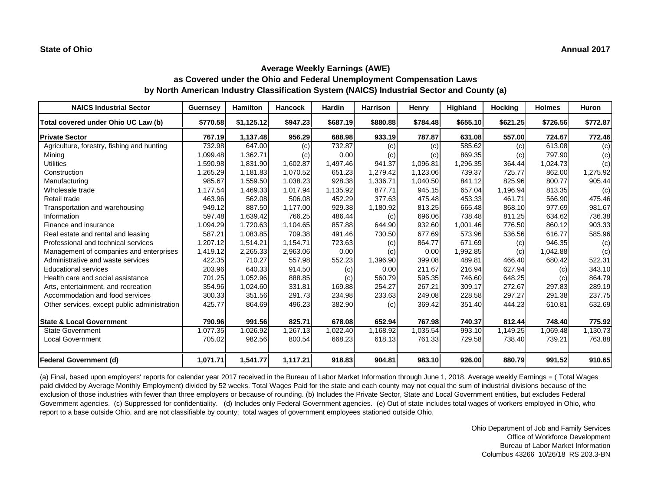| <b>NAICS Industrial Sector</b>               | <b>Guernsey</b> | <b>Hamilton</b> | <b>Hancock</b> | <b>Hardin</b> | <b>Harrison</b> | <b>Henry</b> | Highland | <b>Hocking</b> | <b>Holmes</b> | Huron    |
|----------------------------------------------|-----------------|-----------------|----------------|---------------|-----------------|--------------|----------|----------------|---------------|----------|
| Total covered under Ohio UC Law (b)          | \$770.58        | \$1,125.12      | \$947.23       | \$687.19      | \$880.88        | \$784.48     | \$655.10 | \$621.25       | \$726.56      | \$772.87 |
| <b>Private Sector</b>                        | 767.19          | 1,137.48        | 956.29         | 688.98        | 933.19          | 787.87       | 631.08   | 557.00         | 724.67        | 772.46   |
| Agriculture, forestry, fishing and hunting   | 732.98          | 647.00          | (c)            | 732.87        | (c)             | (c)          | 585.62   | (c)            | 613.08        | (c)      |
| Mining                                       | 1,099.48        | 1,362.71        | (c)            | 0.00          | (c)             | (c)          | 869.35   | (c)            | 797.90        | (c)      |
| <b>Utilities</b>                             | 1,590.98        | 1,831.90        | 1,602.87       | 1,497.46      | 941.37          | 1,096.81     | 1,296.35 | 364.44         | 1,024.73      | (c)      |
| Construction                                 | 1,265.29        | 1,181.83        | 1,070.52       | 651.23        | 1,279.42        | 1,123.06     | 739.37   | 725.77         | 862.00        | 1,275.92 |
| Manufacturing                                | 985.67          | 1,559.50        | 1,038.23       | 928.38        | 1,336.71        | 1,040.50     | 841.12   | 825.96         | 800.77        | 905.44   |
| Wholesale trade                              | 1,177.54        | 1,469.33        | 1,017.94       | 1,135.92      | 877.71          | 945.15       | 657.04   | 1,196.94       | 813.35        | (c)      |
| Retail trade                                 | 463.96          | 562.08          | 506.08         | 452.29        | 377.63          | 475.48       | 453.33   | 461.71         | 566.90        | 475.46   |
| Transportation and warehousing               | 949.12          | 887.50          | 1,177.00       | 929.38        | 1,180.92        | 813.25       | 665.48   | 868.10         | 977.69        | 981.67   |
| Information                                  | 597.48          | 1,639.42        | 766.25         | 486.44        | (c)             | 696.06       | 738.48   | 811.25         | 634.62        | 736.38   |
| Finance and insurance                        | 1,094.29        | 1,720.63        | 1,104.65       | 857.88        | 644.90          | 932.60       | 1,001.46 | 776.50         | 860.12        | 903.33   |
| Real estate and rental and leasing           | 587.21          | 1,083.85        | 709.38         | 491.46        | 730.50          | 677.69       | 573.96   | 536.56         | 616.77        | 585.96   |
| Professional and technical services          | 1,207.12        | 1,514.21        | 1,154.71       | 723.63        | (c)             | 864.77       | 671.69   | (c)            | 946.35        | (c)      |
| Management of companies and enterprises      | 1,419.12        | 2,265.33        | 2,963.06       | 0.00          | (c)             | 0.00         | 1,992.85 | (c)            | 1,042.88      | (c)      |
| Administrative and waste services            | 422.35          | 710.27          | 557.98         | 552.23        | 1,396.90        | 399.08       | 489.81   | 466.40         | 680.42        | 522.31   |
| <b>Educational services</b>                  | 203.96          | 640.33          | 914.50         | (c)           | 0.00            | 211.67       | 216.94   | 627.94         | (c)           | 343.10   |
| Health care and social assistance            | 701.25          | 1,052.96        | 888.85         | (c)           | 560.79          | 595.35       | 746.60   | 648.25         | (c)           | 864.79   |
| Arts, entertainment, and recreation          | 354.96          | 1,024.60        | 331.81         | 169.88        | 254.27          | 267.21       | 309.17   | 272.67         | 297.83        | 289.19   |
| Accommodation and food services              | 300.33          | 351.56          | 291.73         | 234.98        | 233.63          | 249.08       | 228.58   | 297.27         | 291.38        | 237.75   |
| Other services, except public administration | 425.77          | 864.69          | 496.23         | 382.90        | (c)             | 369.42       | 351.40   | 444.23         | 610.81        | 632.69   |
| <b>State &amp; Local Government</b>          | 790.96          | 991.56          | 825.71         | 678.08        | 652.94          | 767.98       | 740.37   | 812.44         | 748.40        | 775.92   |
| <b>State Government</b>                      | 1,077.35        | 1,026.92        | .267.13        | 1,022.40      | 1,168.92        | 1,035.54     | 993.10   | 1,149.25       | 1,069.48      | 1,130.73 |
| <b>Local Government</b>                      | 705.02          | 982.56          | 800.54         | 668.23        | 618.13          | 761.33       | 729.58   | 738.40         | 739.21        | 763.88   |
| <b>Federal Government (d)</b>                | 1,071.71        | 1,541.77        | 1,117.21       | 918.83        | 904.81          | 983.10       | 926.00   | 880.79         | 991.52        | 910.65   |

(a) Final, based upon employers' reports for calendar year 2017 received in the Bureau of Labor Market Information through June 1, 2018. Average weekly Earnings = ( Total Wages paid divided by Average Monthly Employment) divided by 52 weeks. Total Wages Paid for the state and each county may not equal the sum of industrial divisions because of the exclusion of those industries with fewer than three employers or because of rounding. (b) Includes the Private Sector, State and Local Government entities, but excludes Federal Government agencies. (c) Suppressed for confidentiality. (d) Includes only Federal Government agencies. (e) Out of state includes total wages of workers employed in Ohio, who report to a base outside Ohio, and are not classifiable by county; total wages of government employees stationed outside Ohio.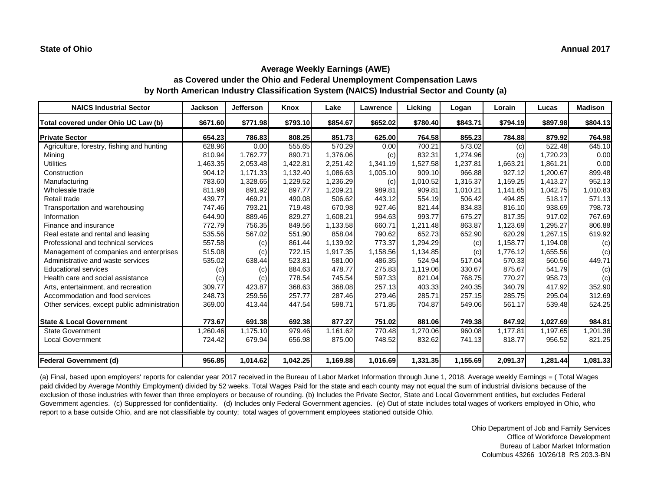| <b>NAICS Industrial Sector</b>               | <b>Jackson</b> | <b>Jefferson</b> | Knox     | Lake     | <b>Lawrence</b> | Licking  | Logan    | Lorain   | Lucas    | <b>Madison</b> |
|----------------------------------------------|----------------|------------------|----------|----------|-----------------|----------|----------|----------|----------|----------------|
| Total covered under Ohio UC Law (b)          | \$671.60       | \$771.98         | \$793.10 | \$854.67 | \$652.02        | \$780.40 | \$843.71 | \$794.19 | \$897.98 | \$804.13       |
| <b>Private Sector</b>                        | 654.23         | 786.83           | 808.25   | 851.73   | 625.00          | 764.58   | 855.23   | 784.88   | 879.92   | 764.98         |
| Agriculture, forestry, fishing and hunting   | 628.96         | 0.00             | 555.65   | 570.29   | 0.00            | 700.21   | 573.02   | (c)      | 522.48   | 645.10         |
| Mining                                       | 810.94         | 1,762.77         | 890.71   | 1,376.06 | (c)             | 832.31   | 1,274.96 | (c)      | 1,720.23 | 0.00           |
| <b>Utilities</b>                             | 1,463.35       | 2,053.48         | 1,422.81 | 2,251.42 | 1,341.19        | 1,527.58 | 1,237.81 | 1,663.21 | 1,861.21 | 0.00           |
| Construction                                 | 904.12         | 1,171.33         | 1,132.40 | 1,086.63 | 1,005.10        | 909.10   | 966.88   | 927.12   | 1,200.67 | 899.48         |
| Manufacturing                                | 783.60         | 1,328.65         | 1,229.52 | 1,236.29 | (c)             | 1,010.52 | 1,315.37 | 1,159.25 | 1,413.27 | 952.13         |
| Wholesale trade                              | 811.98         | 891.92           | 897.77   | 1,209.21 | 989.81          | 909.81   | 1,010.21 | 1,141.65 | 1,042.75 | 1,010.83       |
| Retail trade                                 | 439.77         | 469.21           | 490.08   | 506.62   | 443.12          | 554.19   | 506.42   | 494.85   | 518.17   | 571.13         |
| Transportation and warehousing               | 747.46         | 793.21           | 719.48   | 670.98   | 927.46          | 821.44   | 834.83   | 816.10   | 938.69   | 798.73         |
| Information                                  | 644.90         | 889.46           | 829.27   | 1,608.21 | 994.63          | 993.77   | 675.27   | 817.35   | 917.02   | 767.69         |
| Finance and insurance                        | 772.79         | 756.35           | 849.56   | 1,133.58 | 660.71          | 1,211.48 | 863.87   | 1,123.69 | 1,295.27 | 806.88         |
| Real estate and rental and leasing           | 535.56         | 567.02           | 551.90   | 858.04   | 790.62          | 652.73   | 652.90   | 620.29   | 1,267.15 | 619.92         |
| Professional and technical services          | 557.58         | (c)              | 861.44   | 1,139.92 | 773.37          | 1,294.29 | (c)      | 1,158.77 | 1,194.08 | (c)            |
| Management of companies and enterprises      | 515.08         | (c)              | 722.15   | 1,917.35 | 1,158.56        | 1,134.85 | (c)      | 1,776.12 | 1,655.56 | (c)            |
| Administrative and waste services            | 535.02         | 638.44           | 523.81   | 581.00   | 486.35          | 524.94   | 517.04   | 570.33   | 560.56   | 449.71         |
| <b>Educational services</b>                  | (c)            | (c)              | 884.63   | 478.77   | 275.83          | 1,119.06 | 330.67   | 875.67   | 541.79   | (c)            |
| Health care and social assistance            | (c)            | (c)              | 778.54   | 745.54   | 597.33          | 821.04   | 768.75   | 770.27   | 958.73   | (c)            |
| Arts, entertainment, and recreation          | 309.77         | 423.87           | 368.63   | 368.08   | 257.13          | 403.33   | 240.35   | 340.79   | 417.92   | 352.90         |
| Accommodation and food services              | 248.73         | 259.56           | 257.77   | 287.46   | 279.46          | 285.71   | 257.15   | 285.75   | 295.04   | 312.69         |
| Other services, except public administration | 369.00         | 413.44           | 447.54   | 598.71   | 571.85          | 704.87   | 549.06   | 561.17   | 539.48   | 524.25         |
| <b>State &amp; Local Government</b>          | 773.67         | 691.38           | 692.38   | 877.27   | 751.02          | 881.06   | 749.38   | 847.92   | 1,027.69 | 984.81         |
| <b>State Government</b>                      | 1,260.46       | 1,175.10         | 979.46   | 1,161.62 | 770.48          | 1,270.06 | 960.08   | 1,177.81 | 1,197.65 | ,201.38        |
| <b>Local Government</b>                      | 724.42         | 679.94           | 656.98   | 875.00   | 748.52          | 832.62   | 741.13   | 818.77   | 956.52   | 821.25         |
| Federal Government (d)                       | 956.85         | 1,014.62         | 1,042.25 | 1,169.88 | 1,016.69        | 1,331.35 | 1,155.69 | 2,091.37 | 1,281.44 | 1,081.33       |

(a) Final, based upon employers' reports for calendar year 2017 received in the Bureau of Labor Market Information through June 1, 2018. Average weekly Earnings = ( Total Wages paid divided by Average Monthly Employment) divided by 52 weeks. Total Wages Paid for the state and each county may not equal the sum of industrial divisions because of the exclusion of those industries with fewer than three employers or because of rounding. (b) Includes the Private Sector, State and Local Government entities, but excludes Federal Government agencies. (c) Suppressed for confidentiality. (d) Includes only Federal Government agencies. (e) Out of state includes total wages of workers employed in Ohio, who report to a base outside Ohio, and are not classifiable by county; total wages of government employees stationed outside Ohio.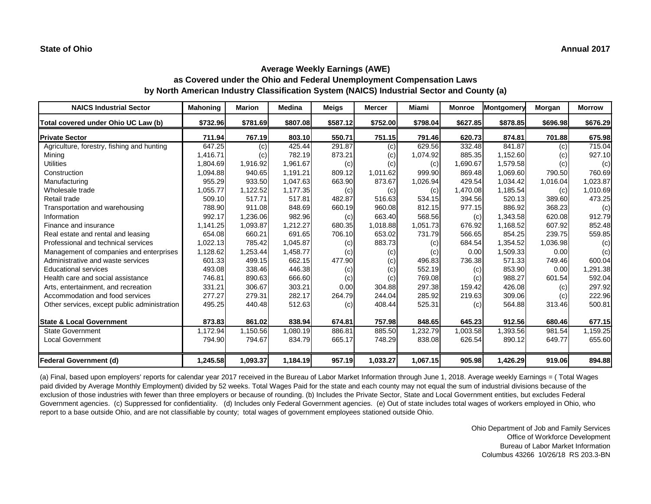| <b>NAICS Industrial Sector</b>               | <b>Mahoning</b> | <b>Marion</b> | <b>Medina</b> | <b>Meigs</b> | <b>Mercer</b> | Miami    | <b>Monroe</b> | Montgomery | <b>Morgan</b> | <b>Morrow</b> |
|----------------------------------------------|-----------------|---------------|---------------|--------------|---------------|----------|---------------|------------|---------------|---------------|
| Total covered under Ohio UC Law (b)          | \$732.96        | \$781.69      | \$807.08      | \$587.12     | \$752.00      | \$798.04 | \$627.85      | \$878.85   | \$696.98      | \$676.29      |
| <b>Private Sector</b>                        | 711.94          | 767.19        | 803.10        | 550.71       | 751.15        | 791.46   | 620.73        | 874.81     | 701.88        | 675.98        |
| Agriculture, forestry, fishing and hunting   | 647.25          | (c)           | 425.44        | 291.87       | (c)           | 629.56   | 332.48        | 841.87     | (c)           | 715.04        |
| Mining                                       | 1,416.71        | (c)           | 782.19        | 873.21       | (c)           | 1,074.92 | 885.35        | 1,152.60   | (c)           | 927.10        |
| <b>Utilities</b>                             | 1,804.69        | 1,916.92      | 1,961.67      | (c)          | (c)           | (c)      | 1,690.67      | 1,579.58   | (c)           | (c)           |
| Construction                                 | 1,094.88        | 940.65        | 1,191.21      | 809.12       | 1,011.62      | 999.90   | 869.48        | 1,069.60   | 790.50        | 760.69        |
| Manufacturing                                | 955.29          | 933.50        | 1,047.63      | 663.90       | 873.67        | 1,026.94 | 429.54        | 1,034.42   | 1,016.04      | 1,023.87      |
| Wholesale trade                              | 1,055.77        | 1,122.52      | 1,177.35      | (c)          | (c)           | (c)      | 1,470.08      | 1,185.54   | (c)           | 1,010.69      |
| Retail trade                                 | 509.10          | 517.71        | 517.81        | 482.87       | 516.63        | 534.15   | 394.56        | 520.13     | 389.60        | 473.25        |
| Transportation and warehousing               | 788.90          | 911.08        | 848.69        | 660.19       | 960.08        | 812.15   | 977.15        | 886.92     | 368.23        | (c)           |
| Information                                  | 992.17          | 1,236.06      | 982.96        | (c)          | 663.40        | 568.56   | (c)           | 1,343.58   | 620.08        | 912.79        |
| Finance and insurance                        | 1,141.25        | 1,093.87      | 1,212.27      | 680.35       | 1,018.88      | 1,051.73 | 676.92        | 1,168.52   | 607.92        | 852.48        |
| Real estate and rental and leasing           | 654.08          | 660.21        | 691.65        | 706.10       | 653.02        | 731.79   | 566.65        | 854.25     | 239.75        | 559.85        |
| Professional and technical services          | 1,022.13        | 785.42        | 1,045.87      | (c)          | 883.73        | (c)      | 684.54        | 1,354.52   | 1,036.98      | (c)           |
| Management of companies and enterprises      | 1,128.62        | 1,253.44      | 1,458.77      | (c)          | (c)           | (c)      | 0.00          | 1,509.33   | 0.00          | (c)           |
| Administrative and waste services            | 601.33          | 499.15        | 662.15        | 477.90       | (c)           | 496.83   | 736.38        | 571.33     | 749.46        | 600.04        |
| <b>Educational services</b>                  | 493.08          | 338.46        | 446.38        | (c)          | (c)           | 552.19   | (c)           | 853.90     | 0.00          | 1,291.38      |
| Health care and social assistance            | 746.81          | 890.63        | 666.60        | (c)          | (c)           | 769.08   | (c)           | 988.27     | 601.54        | 592.04        |
| Arts, entertainment, and recreation          | 331.21          | 306.67        | 303.21        | 0.00         | 304.88        | 297.38   | 159.42        | 426.08     | (c)           | 297.92        |
| Accommodation and food services              | 277.27          | 279.31        | 282.17        | 264.79       | 244.04        | 285.92   | 219.63        | 309.06     | (c)           | 222.96        |
| Other services, except public administration | 495.25          | 440.48        | 512.63        | (c)          | 408.44        | 525.31   | (c)           | 564.88     | 313.46        | 500.81        |
| <b>State &amp; Local Government</b>          | 873.83          | 861.02        | 838.94        | 674.81       | 757.98        | 848.65   | 645.23        | 912.56     | 680.46        | 677.15        |
| <b>State Government</b>                      | 1,172.94        | 1,150.56      | 1,080.19      | 886.81       | 885.50        | 1,232.79 | 1,003.58      | 1,393.56   | 981.54        | 1,159.25      |
| Local Government                             | 794.90          | 794.67        | 834.79        | 665.17       | 748.29        | 838.08   | 626.54        | 890.12     | 649.77        | 655.60        |
| Federal Government (d)                       | 1,245.58        | 1,093.37      | 1,184.19      | 957.19       | 1,033.27      | 1,067.15 | 905.98        | 1,426.29   | 919.06        | 894.88        |

(a) Final, based upon employers' reports for calendar year 2017 received in the Bureau of Labor Market Information through June 1, 2018. Average weekly Earnings = ( Total Wages paid divided by Average Monthly Employment) divided by 52 weeks. Total Wages Paid for the state and each county may not equal the sum of industrial divisions because of the exclusion of those industries with fewer than three employers or because of rounding. (b) Includes the Private Sector, State and Local Government entities, but excludes Federal Government agencies. (c) Suppressed for confidentiality. (d) Includes only Federal Government agencies. (e) Out of state includes total wages of workers employed in Ohio, who report to a base outside Ohio, and are not classifiable by county; total wages of government employees stationed outside Ohio.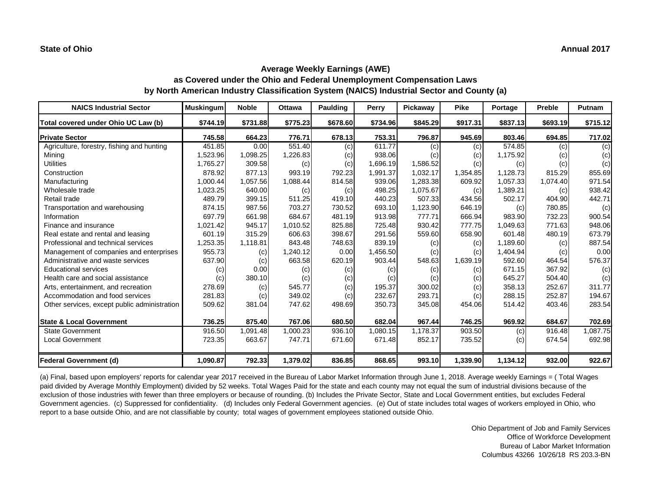| <b>NAICS Industrial Sector</b>               | <b>Muskingum</b> | <b>Noble</b> | <b>Ottawa</b> | Paulding | Perry    | <b>Pickaway</b> | <b>Pike</b> | Portage  | Preble   | Putnam   |
|----------------------------------------------|------------------|--------------|---------------|----------|----------|-----------------|-------------|----------|----------|----------|
| Total covered under Ohio UC Law (b)          | \$744.19         | \$731.88     | \$775.23      | \$678.60 | \$734.96 | \$845.29        | \$917.31    | \$837.13 | \$693.19 | \$715.12 |
| <b>Private Sector</b>                        | 745.58           | 664.23       | 776.71        | 678.13   | 753.31   | 796.87          | 945.69      | 803.46   | 694.85   | 717.02   |
| Agriculture, forestry, fishing and hunting   | 451.85           | 0.00         | 551.40        | (c)      | 611.77   | (c)             | (c)         | 574.85   | (c)      | (c)      |
| Mining                                       | 1,523.96         | 1,098.25     | 1,226.83      | (c)      | 938.06   | (c)             | (c)         | 1,175.92 | (c)      | (c)      |
| <b>Utilities</b>                             | 1,765.27         | 309.58       | (c)           | (c)      | 1,696.19 | 1,586.52        | (c)         | (c)      | (c)      | (c)      |
| Construction                                 | 878.92           | 877.13       | 993.19        | 792.23   | 1,991.37 | 1,032.17        | 1,354.85    | 1,128.73 | 815.29   | 855.69   |
| Manufacturing                                | 1,000.44         | 1,057.56     | 1,088.44      | 814.58   | 939.06   | 1,283.38        | 609.92      | 1,057.33 | 1,074.40 | 971.54   |
| Wholesale trade                              | 1,023.25         | 640.00       | (c)           | (c)      | 498.25   | 1,075.67        | (c)         | 1,389.21 | (c)      | 938.42   |
| Retail trade                                 | 489.79           | 399.15       | 511.25        | 419.10   | 440.23   | 507.33          | 434.56      | 502.17   | 404.90   | 442.71   |
| Transportation and warehousing               | 874.15           | 987.56       | 703.27        | 730.52   | 693.10   | 1,123.90        | 646.19      | (c)      | 780.85   | (c)      |
| Information                                  | 697.79           | 661.98       | 684.67        | 481.19   | 913.98   | 777.71          | 666.94      | 983.90   | 732.23   | 900.54   |
| Finance and insurance                        | 1,021.42         | 945.17       | 1,010.52      | 825.88   | 725.48   | 930.42          | 777.75      | 1,049.63 | 771.63   | 948.06   |
| Real estate and rental and leasing           | 601.19           | 315.29       | 606.63        | 398.67   | 291.56   | 559.60          | 658.90      | 601.48   | 480.19   | 673.79   |
| Professional and technical services          | 1,253.35         | 1,118.81     | 843.48        | 748.63   | 839.19   | (c)             | (c)         | 1,189.60 | (c)      | 887.54   |
| Management of companies and enterprises      | 955.73           | (c)          | 1,240.12      | 0.00     | 1,456.50 | (c)             | (c)         | 1,404.94 | (c)      | 0.00     |
| Administrative and waste services            | 637.90           | (c)          | 663.58        | 620.19   | 903.44   | 548.63          | 1,639.19    | 592.60   | 464.54   | 576.37   |
| <b>Educational services</b>                  | (c)              | 0.00         | (c)           | (c)      | (c)      | (c)             | (c)         | 671.15   | 367.92   | (c)      |
| Health care and social assistance            | (c)              | 380.10       | (c)           | (c)      | (c)      | (c)             | (c)         | 645.27   | 504.40   | (c)      |
| Arts, entertainment, and recreation          | 278.69           | (c)          | 545.77        | (c)      | 195.37   | 300.02          | (c)         | 358.13   | 252.67   | 311.77   |
| Accommodation and food services              | 281.83           | (c)          | 349.02        | (c)      | 232.67   | 293.71          | (c)         | 288.15   | 252.87   | 194.67   |
| Other services, except public administration | 509.62           | 381.04       | 747.62        | 498.69   | 350.73   | 345.08          | 454.06      | 514.42   | 403.46   | 283.54   |
| <b>State &amp; Local Government</b>          | 736.25           | 875.40       | 767.06        | 680.50   | 682.04   | 967.44          | 746.25      | 969.92   | 684.67   | 702.69   |
| <b>State Government</b>                      | 916.50           | 1,091.48     | 1,000.23      | 936.10   | 1,080.15 | 1,178.37        | 903.50      | (c)      | 916.48   | 1,087.75 |
| Local Government                             | 723.35           | 663.67       | 747.71        | 671.60   | 671.48   | 852.17          | 735.52      | (c)      | 674.54   | 692.98   |
| <b>Federal Government (d)</b>                | 1,090.87         | 792.33       | 1,379.02      | 836.85   | 868.65   | 993.10          | 1,339.90    | 1,134.12 | 932.00   | 922.67   |

(a) Final, based upon employers' reports for calendar year 2017 received in the Bureau of Labor Market Information through June 1, 2018. Average weekly Earnings = ( Total Wages paid divided by Average Monthly Employment) divided by 52 weeks. Total Wages Paid for the state and each county may not equal the sum of industrial divisions because of the exclusion of those industries with fewer than three employers or because of rounding. (b) Includes the Private Sector, State and Local Government entities, but excludes Federal Government agencies. (c) Suppressed for confidentiality. (d) Includes only Federal Government agencies. (e) Out of state includes total wages of workers employed in Ohio, who report to a base outside Ohio, and are not classifiable by county; total wages of government employees stationed outside Ohio.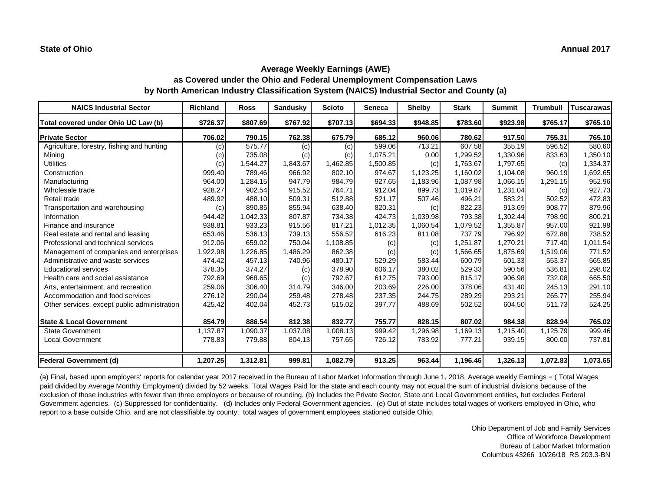| <b>NAICS Industrial Sector</b>               | <b>Richland</b> | <b>Ross</b> | <b>Sandusky</b> | <b>Scioto</b> | <b>Seneca</b> | <b>Shelby</b> | <b>Stark</b> | <b>Summit</b> | <b>Trumbull</b> | <b>Tuscarawas</b> |
|----------------------------------------------|-----------------|-------------|-----------------|---------------|---------------|---------------|--------------|---------------|-----------------|-------------------|
| Total covered under Ohio UC Law (b)          | \$726.37        | \$807.69    | \$767.92        | \$707.13      | \$694.33      | \$948.85      | \$783.60     | \$923.98      | \$765.17        | \$765.10          |
| <b>Private Sector</b>                        | 706.02          | 790.15      | 762.38          | 675.79        | 685.12        | 960.06        | 780.62       | 917.50        | 755.31          | 765.10            |
| Agriculture, forestry, fishing and hunting   | (c)             | 575.77      | (c)             | (c)           | 599.06        | 713.21        | 607.58       | 355.19        | 596.52          | 580.60            |
| Mining                                       | (c)             | 735.08      | (c)             | (c)           | 1,075.21      | 0.00          | 1,299.52     | 1,330.96      | 833.63          | 1,350.10          |
| <b>Utilities</b>                             | (c)             | 1,544.27    | 1,843.67        | 1,462.85      | 1,500.85      | (c)           | 1,763.67     | 1,797.65      | (c)             | 1,334.37          |
| Construction                                 | 999.40          | 789.46      | 966.92          | 802.10        | 974.67        | 1,123.25      | 1,160.02     | 1,104.08      | 960.19          | 1,692.65          |
| Manufacturing                                | 964.00          | 1,284.15    | 947.79          | 984.79        | 927.65        | 1,183.96      | 1,087.98     | 1,066.15      | 1,291.15        | 952.96            |
| Wholesale trade                              | 928.27          | 902.54      | 915.52          | 764.71        | 912.04        | 899.73        | 1,019.87     | 1,231.04      | (c)             | 927.73            |
| Retail trade                                 | 489.92          | 488.10      | 509.31          | 512.88        | 521.17        | 507.46        | 496.21       | 583.21        | 502.52          | 472.83            |
| Transportation and warehousing               | (c)             | 890.85      | 855.94          | 638.40        | 820.31        | (c)           | 822.23       | 913.69        | 908.77          | 879.96            |
| Information                                  | 944.42          | 1,042.33    | 807.87          | 734.38        | 424.73        | 1,039.98      | 793.38       | 1,302.44      | 798.90          | 800.21            |
| Finance and insurance                        | 938.81          | 933.23      | 915.56          | 817.21        | 1,012.35      | 1,060.54      | 1,079.52     | 1,355.87      | 957.00          | 921.98            |
| Real estate and rental and leasing           | 653.46          | 536.13      | 739.13          | 556.52        | 616.23        | 811.08        | 737.79       | 796.92        | 672.88          | 738.52            |
| Professional and technical services          | 912.06          | 659.02      | 750.04          | 1,108.85      | (c)           | (c)           | 1,251.87     | 1,270.21      | 717.40          | 1,011.54          |
| Management of companies and enterprises      | 1,922.98        | 1,226.85    | 1,486.29        | 862.38        | (c)           | (c)           | 1,566.65     | 1,875.69      | 1,519.06        | 771.52            |
| Administrative and waste services            | 474.42          | 457.13      | 740.96          | 480.17        | 529.29        | 583.44        | 600.79       | 601.33        | 553.37          | 565.85            |
| <b>Educational services</b>                  | 378.35          | 374.27      | (c)             | 378.90        | 606.17        | 380.02        | 529.33       | 590.56        | 536.81          | 298.02            |
| Health care and social assistance            | 792.69          | 968.65      | (c)             | 792.67        | 612.75        | 793.00        | 815.17       | 906.98        | 732.08          | 665.50            |
| Arts, entertainment, and recreation          | 259.06          | 306.40      | 314.79          | 346.00        | 203.69        | 226.00        | 378.06       | 431.40        | 245.13          | 291.10            |
| Accommodation and food services              | 276.12          | 290.04      | 259.48          | 278.48        | 237.35        | 244.75        | 289.29       | 293.21        | 265.77          | 255.94            |
| Other services, except public administration | 425.42          | 402.04      | 452.73          | 515.02        | 397.77        | 488.69        | 502.52       | 604.50        | 511.73          | 524.25            |
| <b>State &amp; Local Government</b>          | 854.79          | 886.54      | 812.38          | 832.77        | 755.77        | 828.15        | 807.02       | 984.38        | 828.94          | 765.02            |
| <b>State Government</b>                      | 1,137.87        | 1,090.37    | 1,037.08        | 1,008.13      | 999.42        | 1,296.98      | 1,169.13     | 1,215.40      | 1,125.79        | 999.46            |
| <b>Local Government</b>                      | 778.83          | 779.88      | 804.13          | 757.65        | 726.12        | 783.92        | 777.21       | 939.15        | 800.00          | 737.81            |
| Federal Government (d)                       | 1,207.25        | 1,312.81    | 999.81          | 1,082.79      | 913.25        | 963.44        | 1,196.46     | 1,326.13      | 1,072.83        | 1,073.65          |

(a) Final, based upon employers' reports for calendar year 2017 received in the Bureau of Labor Market Information through June 1, 2018. Average weekly Earnings = ( Total Wages paid divided by Average Monthly Employment) divided by 52 weeks. Total Wages Paid for the state and each county may not equal the sum of industrial divisions because of the exclusion of those industries with fewer than three employers or because of rounding. (b) Includes the Private Sector, State and Local Government entities, but excludes Federal Government agencies. (c) Suppressed for confidentiality. (d) Includes only Federal Government agencies. (e) Out of state includes total wages of workers employed in Ohio, who report to a base outside Ohio, and are not classifiable by county; total wages of government employees stationed outside Ohio.